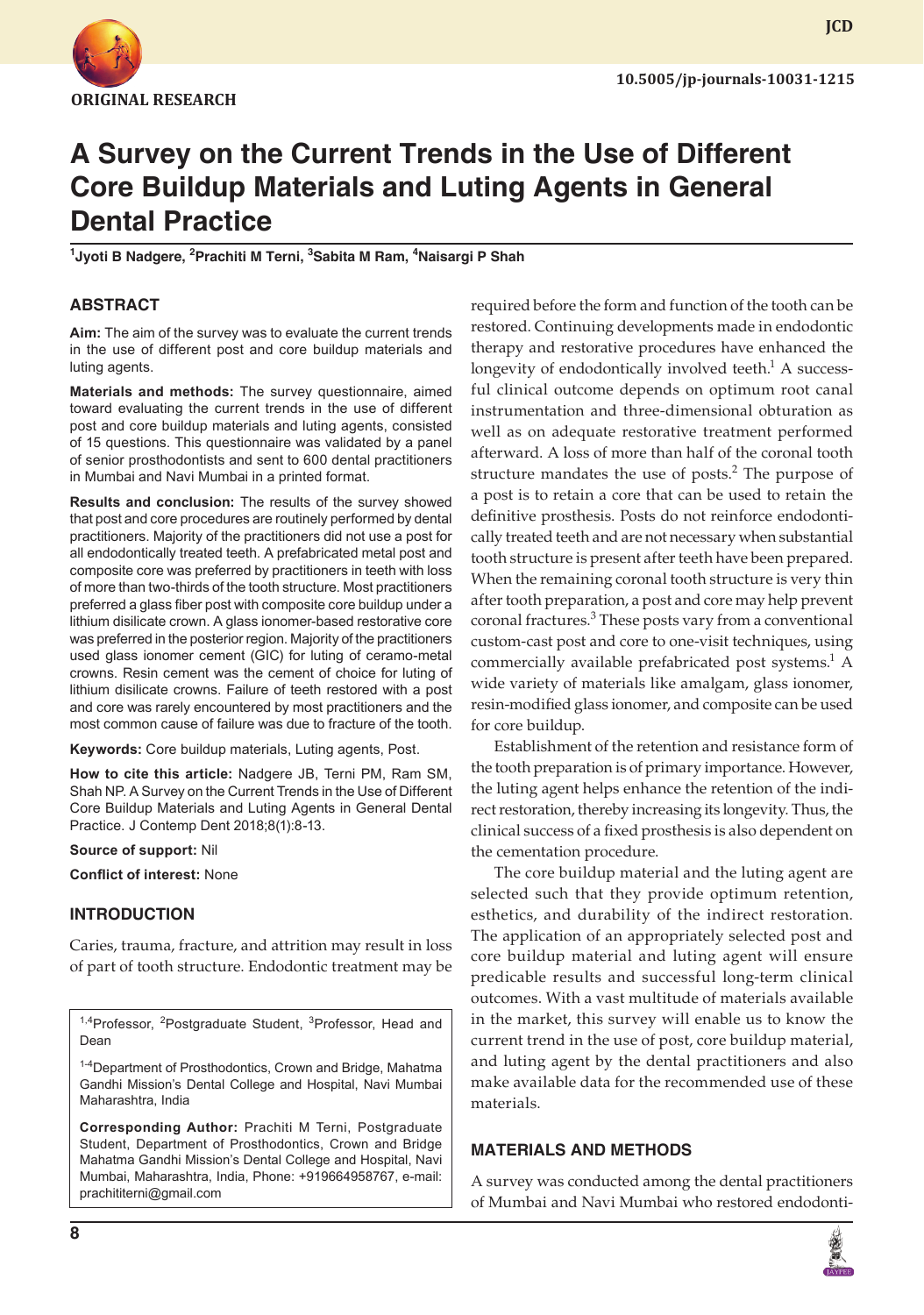

**JCD**

# **A Survey on the Current Trends in the Use of Different Core Buildup Materials and Luting Agents in General Dental Practice**

**1 Jyoti B Nadgere, 2 Prachiti M Terni, 3 Sabita M Ram, 4 Naisargi P Shah**

# **ABSTRACT**

**Aim:** The aim of the survey was to evaluate the current trends in the use of different post and core buildup materials and luting agents.

**Materials and methods:** The survey questionnaire, aimed toward evaluating the current trends in the use of different post and core buildup materials and luting agents, consisted of 15 questions. This questionnaire was validated by a panel of senior prosthodontists and sent to 600 dental practitioners in Mumbai and Navi Mumbai in a printed format.

**Results and conclusion:** The results of the survey showed that post and core procedures are routinely performed by dental practitioners. Majority of the practitioners did not use a post for all endodontically treated teeth. A prefabricated metal post and composite core was preferred by practitioners in teeth with loss of more than two-thirds of the tooth structure. Most practitioners preferred a glass fiber post with composite core buildup under a lithium disilicate crown. A glass ionomer-based restorative core was preferred in the posterior region. Majority of the practitioners used glass ionomer cement (GIC) for luting of ceramo-metal crowns. Resin cement was the cement of choice for luting of lithium disilicate crowns. Failure of teeth restored with a post and core was rarely encountered by most practitioners and the most common cause of failure was due to fracture of the tooth.

**Keywords:** Core buildup materials, Luting agents, Post.

**How to cite this article:** Nadgere JB, Terni PM, Ram SM, Shah NP. A Survey on the Current Trends in the Use of Different Core Buildup Materials and Luting Agents in General Dental Practice. J Contemp Dent 2018;8(1):8-13.

#### **Source of support:** Nil

**Conflict of interest:** None

# **INTRODUCTION**

Caries, trauma, fracture, and attrition may result in loss of part of tooth structure. Endodontic treatment may be

<sup>1,4</sup>Professor, <sup>2</sup>Postgraduate Student, <sup>3</sup>Professor, Head and Dean

1-4Department of Prosthodontics, Crown and Bridge, Mahatma Gandhi Mission's Dental College and Hospital, Navi Mumbai Maharashtra, India

**Corresponding Author:** Prachiti M Terni, Postgraduate Student, Department of Prosthodontics, Crown and Bridge Mahatma Gandhi Mission's Dental College and Hospital, Navi Mumbai, Maharashtra, India, Phone: +919664958767, e-mail: prachititerni@gmail.com

required before the form and function of the tooth can be restored. Continuing developments made in endodontic therapy and restorative procedures have enhanced the longevity of endodontically involved teeth. $<sup>1</sup>$  A success-</sup> ful clinical outcome depends on optimum root canal instrumentation and three-dimensional obturation as well as on adequate restorative treatment performed afterward. A loss of more than half of the coronal tooth structure mandates the use of posts. $2$  The purpose of a post is to retain a core that can be used to retain the definitive prosthesis. Posts do not reinforce endodontically treated teeth and are not necessary when substantial tooth structure is present after teeth have been prepared. When the remaining coronal tooth structure is very thin after tooth preparation, a post and core may help prevent coronal fractures.<sup>3</sup> These posts vary from a conventional custom-cast post and core to one-visit techniques, using commercially available prefabricated post systems.<sup>1</sup> A wide variety of materials like amalgam, glass ionomer, resin-modified glass ionomer, and composite can be used for core buildup.

Establishment of the retention and resistance form of the tooth preparation is of primary importance. However, the luting agent helps enhance the retention of the indirect restoration, thereby increasing its longevity. Thus, the clinical success of a fixed prosthesis is also dependent on the cementation procedure.

The core buildup material and the luting agent are selected such that they provide optimum retention, esthetics, and durability of the indirect restoration. The application of an appropriately selected post and core buildup material and luting agent will ensure predicable results and successful long-term clinical outcomes. With a vast multitude of materials available in the market, this survey will enable us to know the current trend in the use of post, core buildup material, and luting agent by the dental practitioners and also make available data for the recommended use of these materials.

# **MATERIALS AND METHODS**

A survey was conducted among the dental practitioners of Mumbai and Navi Mumbai who restored endodonti-

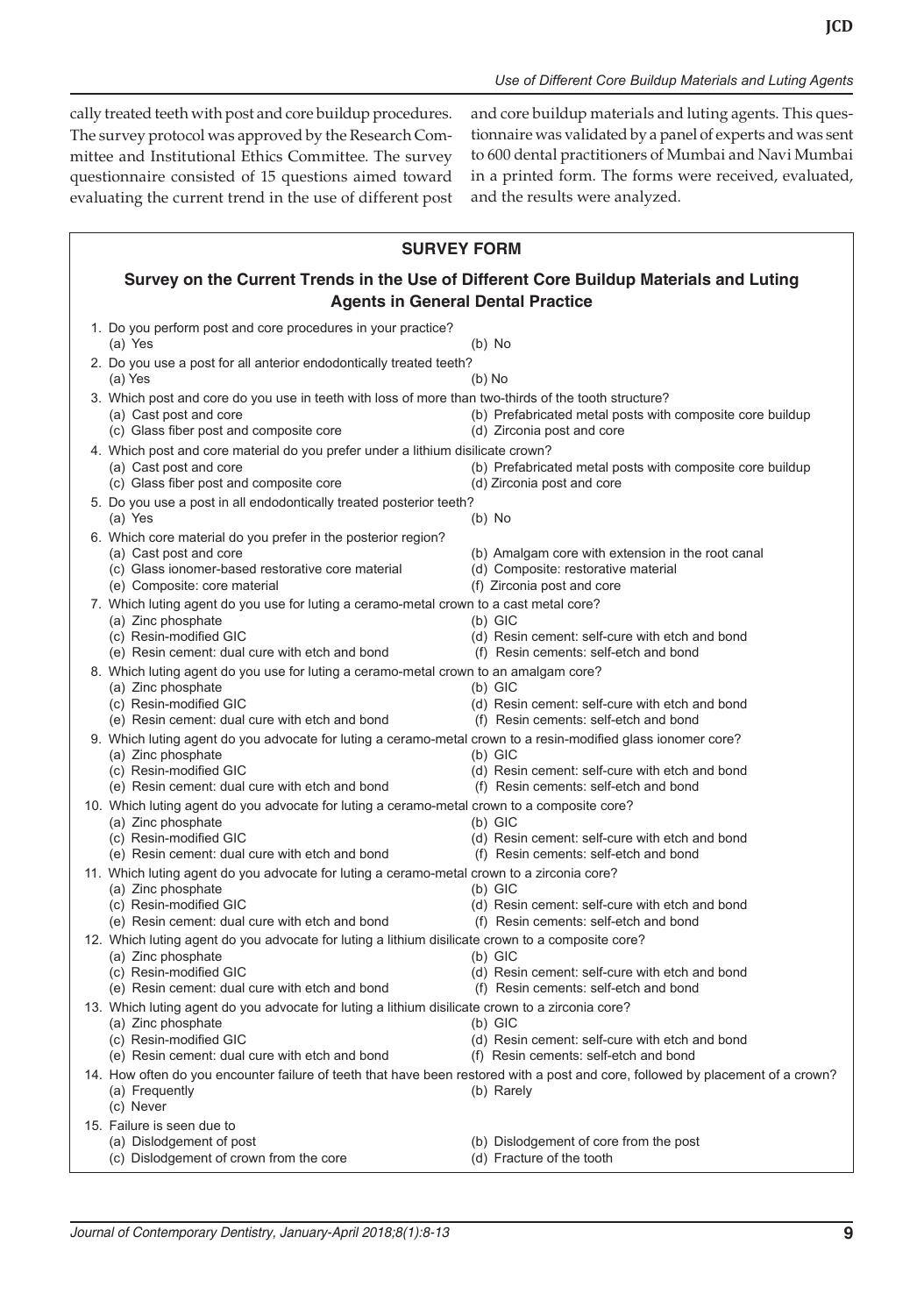cally treated teeth with post and core buildup procedures. The survey protocol was approved by the Research Committee and Institutional Ethics Committee. The survey questionnaire consisted of 15 questions aimed toward evaluating the current trend in the use of different post and core buildup materials and luting agents. This questionnaire was validated by a panel of experts and was sent to 600 dental practitioners of Mumbai and Navi Mumbai in a printed form. The forms were received, evaluated, and the results were analyzed.

| <b>SURVEY FORM</b>                                                                     |                                                                                                                                                                                                                 |                                                                                                                                               |
|----------------------------------------------------------------------------------------|-----------------------------------------------------------------------------------------------------------------------------------------------------------------------------------------------------------------|-----------------------------------------------------------------------------------------------------------------------------------------------|
| Survey on the Current Trends in the Use of Different Core Buildup Materials and Luting |                                                                                                                                                                                                                 |                                                                                                                                               |
| <b>Agents in General Dental Practice</b>                                               |                                                                                                                                                                                                                 |                                                                                                                                               |
|                                                                                        | 1. Do you perform post and core procedures in your practice?<br>(a) Yes                                                                                                                                         | $(b)$ No                                                                                                                                      |
|                                                                                        | 2. Do you use a post for all anterior endodontically treated teeth?<br>(a) Yes                                                                                                                                  | $(b)$ No                                                                                                                                      |
|                                                                                        | 3. Which post and core do you use in teeth with loss of more than two-thirds of the tooth structure?<br>(a) Cast post and core<br>(c) Glass fiber post and composite core                                       | (b) Prefabricated metal posts with composite core buildup<br>(d) Zirconia post and core                                                       |
|                                                                                        | 4. Which post and core material do you prefer under a lithium disilicate crown?<br>(a) Cast post and core<br>(c) Glass fiber post and composite core                                                            | (b) Prefabricated metal posts with composite core buildup<br>(d) Zirconia post and core                                                       |
|                                                                                        | 5. Do you use a post in all endodontically treated posterior teeth?<br>(a) Yes                                                                                                                                  | $(b)$ No                                                                                                                                      |
|                                                                                        | 6. Which core material do you prefer in the posterior region?<br>(a) Cast post and core<br>(c) Glass ionomer-based restorative core material<br>(e) Composite: core material                                    | (b) Amalgam core with extension in the root canal<br>(d) Composite: restorative material<br>(f) Zirconia post and core                        |
|                                                                                        | 7. Which luting agent do you use for luting a ceramo-metal crown to a cast metal core?<br>(a) Zinc phosphate<br>(c) Resin-modified GIC<br>(e) Resin cement: dual cure with etch and bond                        | $(b)$ GIC<br>(d) Resin cement: self-cure with etch and bond<br>(f) Resin cements: self-etch and bond                                          |
|                                                                                        | 8. Which luting agent do you use for luting a ceramo-metal crown to an amalgam core?<br>(a) Zinc phosphate<br>(c) Resin-modified GIC<br>(e) Resin cement: dual cure with etch and bond                          | $(b)$ GIC<br>(d) Resin cement: self-cure with etch and bond<br>(f) Resin cements: self-etch and bond                                          |
|                                                                                        | 9. Which luting agent do you advocate for luting a ceramo-metal crown to a resin-modified glass ionomer core?<br>(a) Zinc phosphate<br>(c) Resin-modified GIC<br>(e) Resin cement: dual cure with etch and bond | $(b)$ GIC<br>(d) Resin cement: self-cure with etch and bond<br>(f) Resin cements: self-etch and bond                                          |
|                                                                                        | 10. Which luting agent do you advocate for luting a ceramo-metal crown to a composite core?<br>(a) Zinc phosphate<br>(c) Resin-modified GIC<br>(e) Resin cement: dual cure with etch and bond                   | $(b)$ GIC<br>(d) Resin cement: self-cure with etch and bond<br>(f) Resin cements: self-etch and bond                                          |
|                                                                                        | 11. Which luting agent do you advocate for luting a ceramo-metal crown to a zirconia core?<br>(a) Zinc phosphate<br>(c) Resin-modified GIC<br>(e) Resin cement: dual cure with etch and bond                    | $(b)$ GIC<br>(d) Resin cement: self-cure with etch and bond<br>(f) Resin cements: self-etch and bond                                          |
|                                                                                        | 12. Which luting agent do you advocate for luting a lithium disilicate crown to a composite core?<br>(a) Zinc phosphate<br>(c) Resin-modified GIC<br>(e) Resin cement: dual cure with etch and bond             | $(b)$ GIC<br>(d) Resin cement: self-cure with etch and bond<br>(f) Resin cements: self-etch and bond                                          |
|                                                                                        | 13. Which luting agent do you advocate for luting a lithium disilicate crown to a zirconia core?<br>(a) Zinc phosphate<br>(c) Resin-modified GIC<br>(e) Resin cement: dual cure with etch and bond              | $(b)$ GIC<br>(d) Resin cement: self-cure with etch and bond<br>(f) Resin cements: self-etch and bond                                          |
|                                                                                        | (a) Frequently<br>(c) Never                                                                                                                                                                                     | 14. How often do you encounter failure of teeth that have been restored with a post and core, followed by placement of a crown?<br>(b) Rarely |
|                                                                                        | 15. Failure is seen due to<br>(a) Dislodgement of post<br>(c) Dislodgement of crown from the core                                                                                                               | (b) Dislodgement of core from the post<br>(d) Fracture of the tooth                                                                           |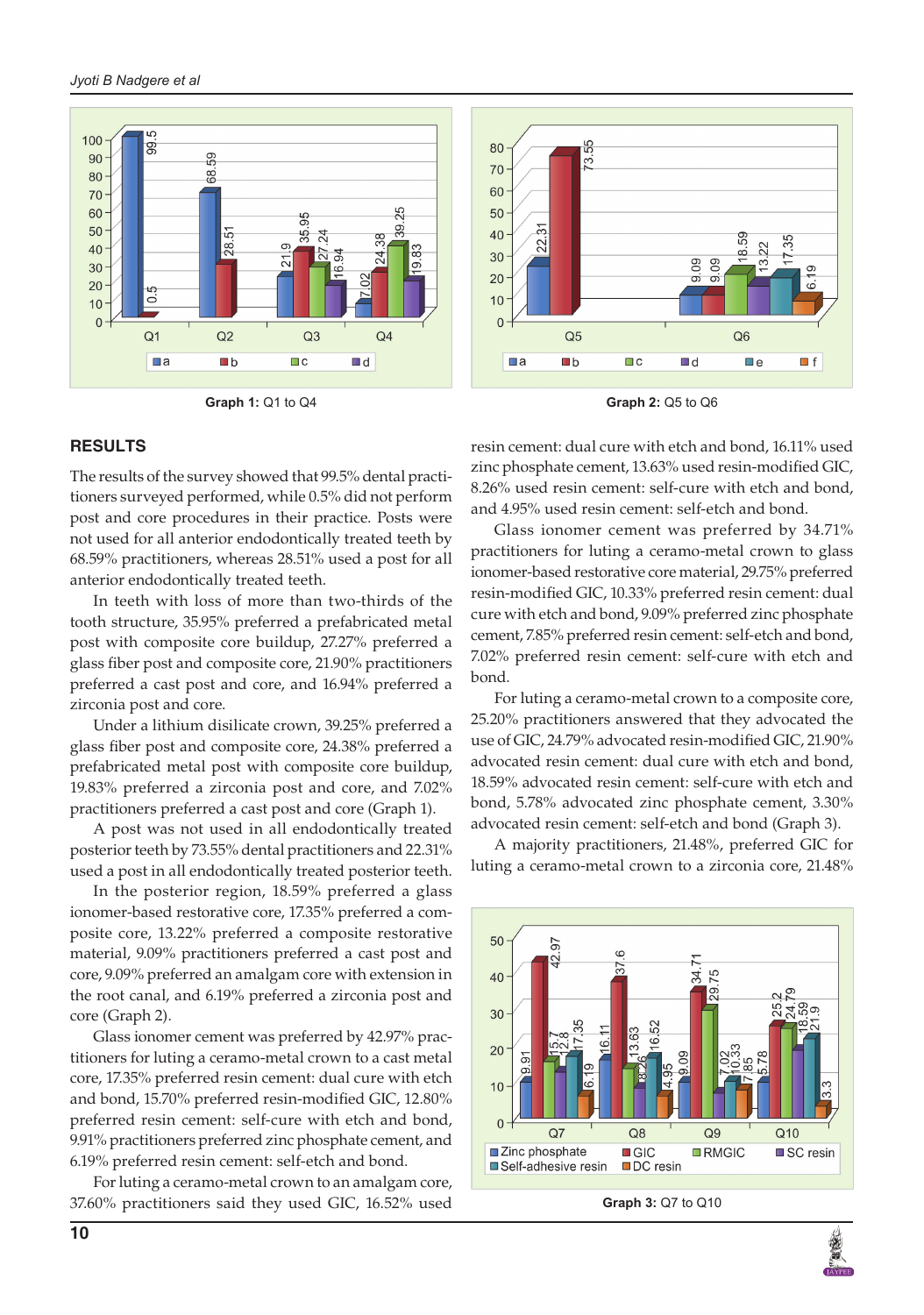





#### **RESULTS**

The results of the survey showed that 99.5% dental practitioners surveyed performed, while 0.5% did not perform post and core procedures in their practice. Posts were not used for all anterior endodontically treated teeth by 68.59% practitioners, whereas 28.51% used a post for all anterior endodontically treated teeth.

In teeth with loss of more than two-thirds of the tooth structure, 35.95% preferred a prefabricated metal post with composite core buildup, 27.27% preferred a glass fiber post and composite core, 21.90% practitioners preferred a cast post and core, and 16.94% preferred a zirconia post and core.

Under a lithium disilicate crown, 39.25% preferred a glass fiber post and composite core, 24.38% preferred a prefabricated metal post with composite core buildup, 19.83% preferred a zirconia post and core, and 7.02% practitioners preferred a cast post and core (Graph 1).

A post was not used in all endodontically treated posterior teeth by 73.55% dental practitioners and 22.31% used a post in all endodontically treated posterior teeth.

In the posterior region, 18.59% preferred a glass ionomer-based restorative core, 17.35% preferred a composite core, 13.22% preferred a composite restorative material, 9.09% practitioners preferred a cast post and core, 9.09% preferred an amalgam core with extension in the root canal, and 6.19% preferred a zirconia post and core (Graph 2).

Glass ionomer cement was preferred by 42.97% practitioners for luting a ceramo-metal crown to a cast metal core, 17.35% preferred resin cement: dual cure with etch and bond, 15.70% preferred resin-modified GIC, 12.80% preferred resin cement: self-cure with etch and bond, 9.91% practitioners preferred zinc phosphate cement, and 6.19% preferred resin cement: self-etch and bond.

For luting a ceramo-metal crown to an amalgam core, 37.60% practitioners said they used GIC, 16.52% used resin cement: dual cure with etch and bond, 16.11% used zinc phosphate cement, 13.63% used resin-modified GIC, 8.26% used resin cement: self-cure with etch and bond, and 4.95% used resin cement: self-etch and bond.

Glass ionomer cement was preferred by 34.71% practitioners for luting a ceramo-metal crown to glass ionomer-based restorative core material, 29.75% preferred resin-modified GIC, 10.33% preferred resin cement: dual cure with etch and bond, 9.09% preferred zinc phosphate cement, 7.85% preferred resin cement: self-etch and bond, 7.02% preferred resin cement: self-cure with etch and bond.

For luting a ceramo-metal crown to a composite core, 25.20% practitioners answered that they advocated the use of GIC, 24.79% advocated resin-modified GIC, 21.90% advocated resin cement: dual cure with etch and bond, 18.59% advocated resin cement: self-cure with etch and bond, 5.78% advocated zinc phosphate cement, 3.30% advocated resin cement: self-etch and bond (Graph 3).

A majority practitioners, 21.48%, preferred GIC for luting a ceramo-metal crown to a zirconia core, 21.48%





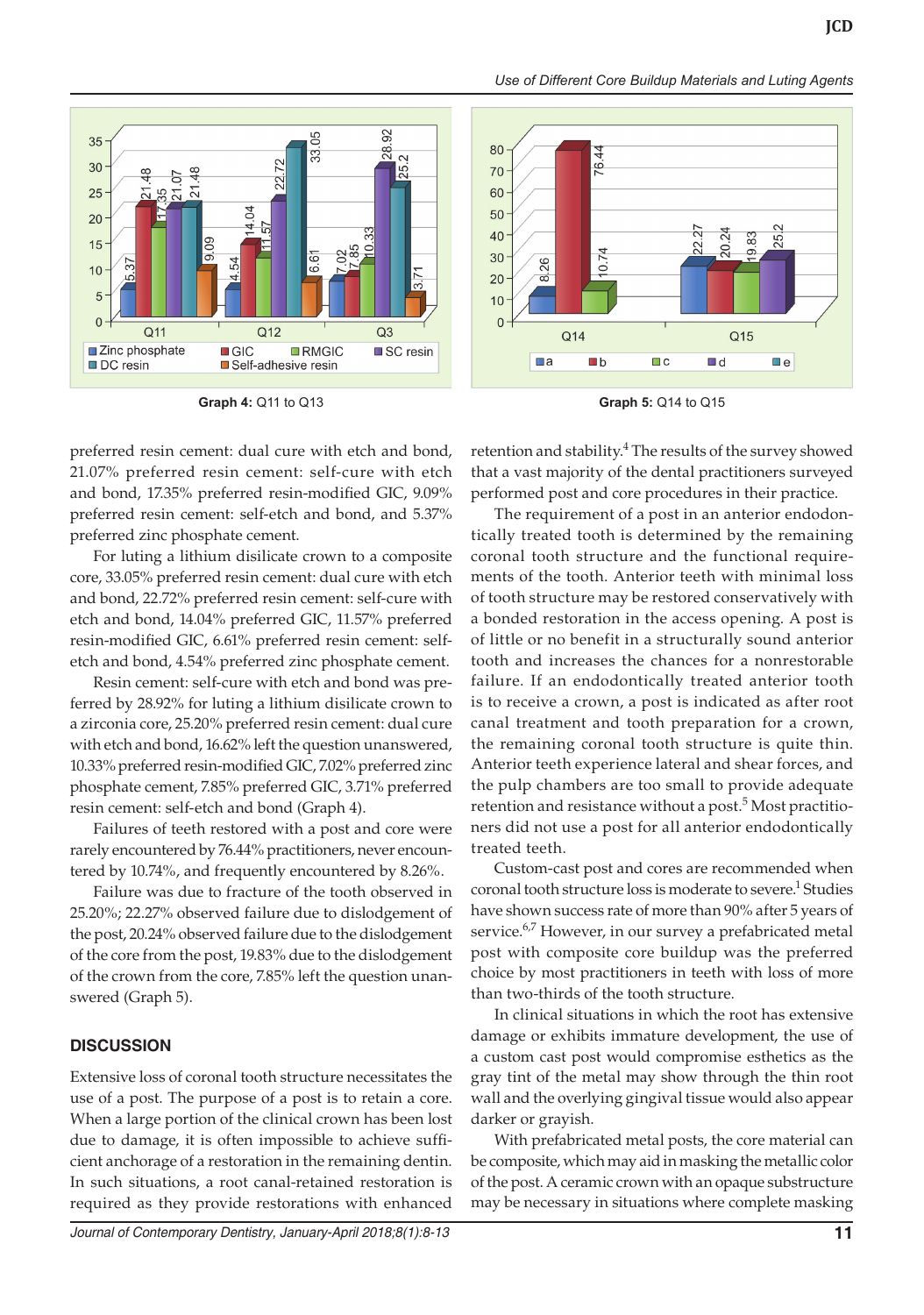



preferred resin cement: dual cure with etch and bond, 21.07% preferred resin cement: self-cure with etch and bond, 17.35% preferred resin-modified GIC, 9.09% preferred resin cement: self-etch and bond, and 5.37% preferred zinc phosphate cement.

For luting a lithium disilicate crown to a composite core, 33.05% preferred resin cement: dual cure with etch and bond, 22.72% preferred resin cement: self-cure with etch and bond, 14.04% preferred GIC, 11.57% preferred resin-modified GIC, 6.61% preferred resin cement: selfetch and bond, 4.54% preferred zinc phosphate cement.

Resin cement: self-cure with etch and bond was preferred by 28.92% for luting a lithium disilicate crown to a zirconia core, 25.20% preferred resin cement: dual cure with etch and bond, 16.62% left the question unanswered, 10.33% preferred resin-modified GIC, 7.02% preferred zinc phosphate cement, 7.85% preferred GIC, 3.71% preferred resin cement: self-etch and bond (Graph 4).

Failures of teeth restored with a post and core were rarely encountered by 76.44% practitioners, never encountered by 10.74%, and frequently encountered by 8.26%.

Failure was due to fracture of the tooth observed in 25.20%; 22.27% observed failure due to dislodgement of the post, 20.24% observed failure due to the dislodgement of the core from the post, 19.83% due to the dislodgement of the crown from the core, 7.85% left the question unanswered (Graph 5).

## **DISCUSSION**

Extensive loss of coronal tooth structure necessitates the use of a post. The purpose of a post is to retain a core. When a large portion of the clinical crown has been lost due to damage, it is often impossible to achieve sufficient anchorage of a restoration in the remaining dentin. In such situations, a root canal-retained restoration is required as they provide restorations with enhanced



**Graph 4:** Q11 to Q13 **Graph 5:** Q14 to Q15

retention and stability.<sup>4</sup> The results of the survey showed that a vast majority of the dental practitioners surveyed performed post and core procedures in their practice.

The requirement of a post in an anterior endodontically treated tooth is determined by the remaining coronal tooth structure and the functional requirements of the tooth. Anterior teeth with minimal loss of tooth structure may be restored conservatively with a bonded restoration in the access opening. A post is of little or no benefit in a structurally sound anterior tooth and increases the chances for a nonrestorable failure. If an endodontically treated anterior tooth is to receive a crown, a post is indicated as after root canal treatment and tooth preparation for a crown, the remaining coronal tooth structure is quite thin. Anterior teeth experience lateral and shear forces, and the pulp chambers are too small to provide adequate retention and resistance without a post.<sup>5</sup> Most practitioners did not use a post for all anterior endodontically treated teeth.

Custom-cast post and cores are recommended when coronal tooth structure loss is moderate to severe.<sup>1</sup> Studies have shown success rate of more than 90% after 5 years of service.<sup>6,7</sup> However, in our survey a prefabricated metal post with composite core buildup was the preferred choice by most practitioners in teeth with loss of more than two-thirds of the tooth structure.

In clinical situations in which the root has extensive damage or exhibits immature development, the use of a custom cast post would compromise esthetics as the gray tint of the metal may show through the thin root wall and the overlying gingival tissue would also appear darker or grayish.

With prefabricated metal posts, the core material can be composite, which may aid in masking the metallic color of the post. A ceramic crown with an opaque substructure may be necessary in situations where complete masking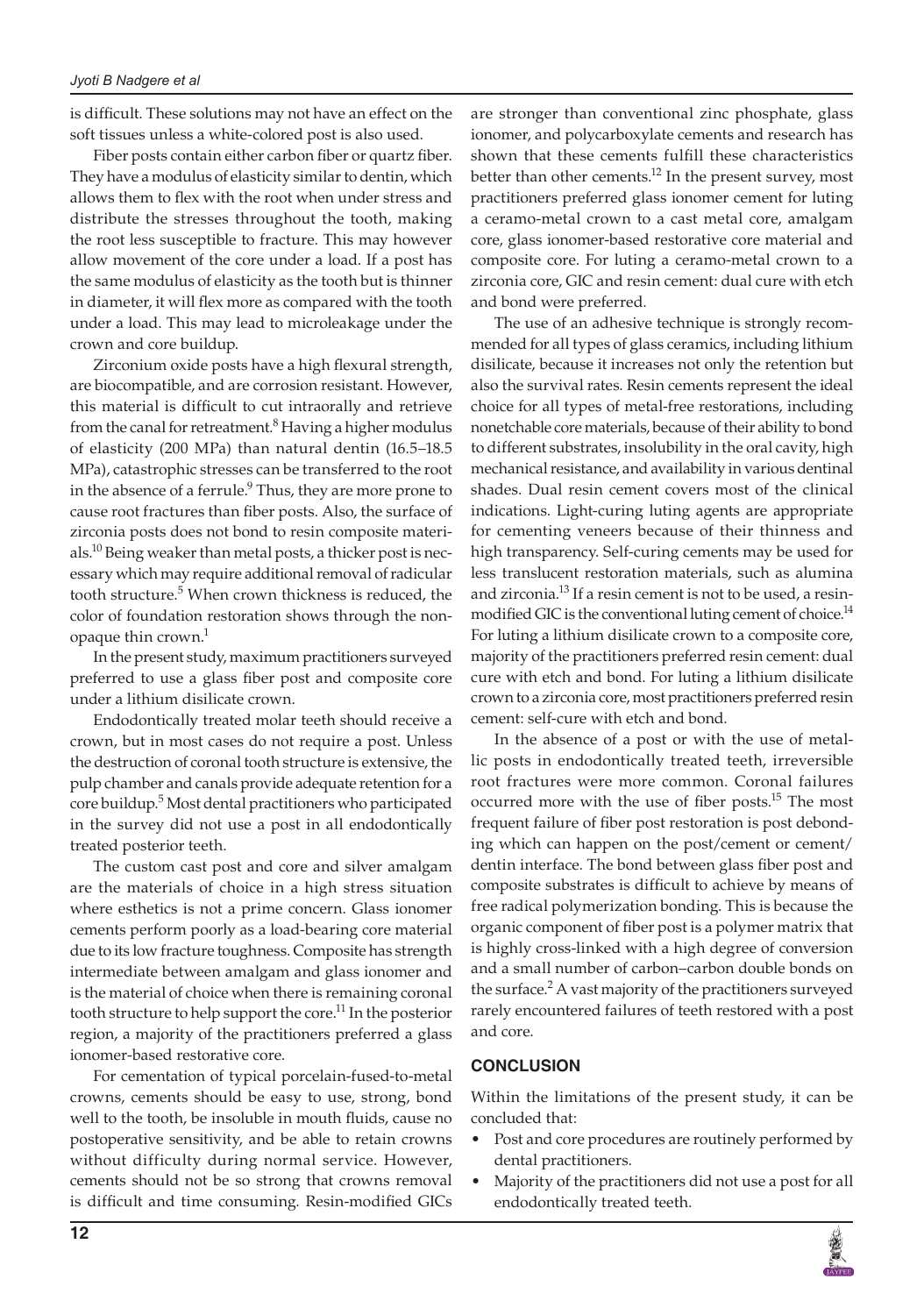is difficult. These solutions may not have an effect on the soft tissues unless a white-colored post is also used.

Fiber posts contain either carbon fiber or quartz fiber. They have a modulus of elasticity similar to dentin, which allows them to flex with the root when under stress and distribute the stresses throughout the tooth, making the root less susceptible to fracture. This may however allow movement of the core under a load. If a post has the same modulus of elasticity as the tooth but is thinner in diameter, it will flex more as compared with the tooth under a load. This may lead to microleakage under the crown and core buildup.

Zirconium oxide posts have a high flexural strength, are biocompatible, and are corrosion resistant. However, this material is difficult to cut intraorally and retrieve from the canal for retreatment.<sup>8</sup> Having a higher modulus of elasticity (200 MPa) than natural dentin (16.5–18.5 MPa), catastrophic stresses can be transferred to the root in the absence of a ferrule.<sup>9</sup> Thus, they are more prone to cause root fractures than fiber posts. Also, the surface of zirconia posts does not bond to resin composite materials.<sup>10</sup> Being weaker than metal posts, a thicker post is necessary which may require additional removal of radicular tooth structure.<sup>5</sup> When crown thickness is reduced, the color of foundation restoration shows through the nonopaque thin crown.<sup>1</sup>

In the present study, maximum practitioners surveyed preferred to use a glass fiber post and composite core under a lithium disilicate crown.

Endodontically treated molar teeth should receive a crown, but in most cases do not require a post. Unless the destruction of coronal tooth structure is extensive, the pulp chamber and canals provide adequate retention for a core buildup.<sup>5</sup> Most dental practitioners who participated in the survey did not use a post in all endodontically treated posterior teeth.

The custom cast post and core and silver amalgam are the materials of choice in a high stress situation where esthetics is not a prime concern. Glass ionomer cements perform poorly as a load-bearing core material due to its low fracture toughness. Composite has strength intermediate between amalgam and glass ionomer and is the material of choice when there is remaining coronal tooth structure to help support the core.<sup>11</sup> In the posterior region, a majority of the practitioners preferred a glass ionomer-based restorative core.

For cementation of typical porcelain-fused-to-metal crowns, cements should be easy to use, strong, bond well to the tooth, be insoluble in mouth fluids, cause no postoperative sensitivity, and be able to retain crowns without difficulty during normal service. However, cements should not be so strong that crowns removal is difficult and time consuming. Resin-modified GICs

are stronger than conventional zinc phosphate, glass ionomer, and polycarboxylate cements and research has shown that these cements fulfill these characteristics better than other cements.<sup>12</sup> In the present survey, most practitioners preferred glass ionomer cement for luting a ceramo-metal crown to a cast metal core, amalgam core, glass ionomer-based restorative core material and composite core. For luting a ceramo-metal crown to a zirconia core, GIC and resin cement: dual cure with etch and bond were preferred.

The use of an adhesive technique is strongly recommended for all types of glass ceramics, including lithium disilicate, because it increases not only the retention but also the survival rates. Resin cements represent the ideal choice for all types of metal-free restorations, including nonetchable core materials, because of their ability to bond to different substrates, insolubility in the oral cavity, high mechanical resistance, and availability in various dentinal shades. Dual resin cement covers most of the clinical indications. Light-curing luting agents are appropriate for cementing veneers because of their thinness and high transparency. Self-curing cements may be used for less translucent restoration materials, such as alumina and zirconia.<sup>13</sup> If a resin cement is not to be used, a resinmodified GIC is the conventional luting cement of choice.<sup>14</sup> For luting a lithium disilicate crown to a composite core, majority of the practitioners preferred resin cement: dual cure with etch and bond. For luting a lithium disilicate crown to a zirconia core, most practitioners preferred resin cement: self-cure with etch and bond.

In the absence of a post or with the use of metallic posts in endodontically treated teeth, irreversible root fractures were more common. Coronal failures occurred more with the use of fiber posts.<sup>15</sup> The most frequent failure of fiber post restoration is post debonding which can happen on the post/cement or cement/ dentin interface. The bond between glass fiber post and composite substrates is difficult to achieve by means of free radical polymerization bonding. This is because the organic component of fiber post is a polymer matrix that is highly cross-linked with a high degree of conversion and a small number of carbon–carbon double bonds on the surface.<sup>2</sup> A vast majority of the practitioners surveyed rarely encountered failures of teeth restored with a post and core.

# **CONCLUSION**

Within the limitations of the present study, it can be concluded that:

- Post and core procedures are routinely performed by dental practitioners.
- Majority of the practitioners did not use a post for all endodontically treated teeth.